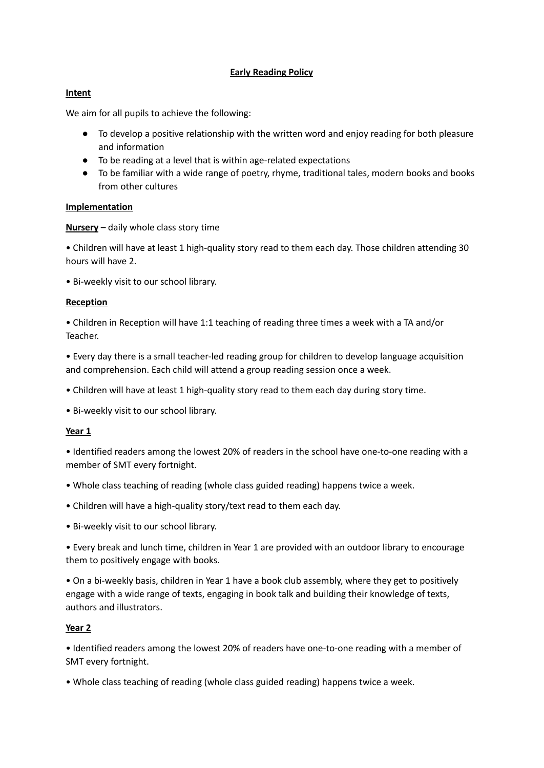# **Early Reading Policy**

## **Intent**

We aim for all pupils to achieve the following:

- To develop a positive relationship with the written word and enjoy reading for both pleasure and information
- To be reading at a level that is within age-related expectations
- To be familiar with a wide range of poetry, rhyme, traditional tales, modern books and books from other cultures

#### **Implementation**

**Nursery** – daily whole class story time

• Children will have at least 1 high-quality story read to them each day. Those children attending 30 hours will have 2.

• Bi-weekly visit to our school library.

## **Reception**

• Children in Reception will have 1:1 teaching of reading three times a week with a TA and/or Teacher.

• Every day there is a small teacher-led reading group for children to develop language acquisition and comprehension. Each child will attend a group reading session once a week.

• Children will have at least 1 high-quality story read to them each day during story time.

• Bi-weekly visit to our school library.

#### **Year 1**

• Identified readers among the lowest 20% of readers in the school have one-to-one reading with a member of SMT every fortnight.

- Whole class teaching of reading (whole class guided reading) happens twice a week.
- Children will have a high-quality story/text read to them each day.
- Bi-weekly visit to our school library.

• Every break and lunch time, children in Year 1 are provided with an outdoor library to encourage them to positively engage with books.

• On a bi-weekly basis, children in Year 1 have a book club assembly, where they get to positively engage with a wide range of texts, engaging in book talk and building their knowledge of texts, authors and illustrators.

## **Year 2**

• Identified readers among the lowest 20% of readers have one-to-one reading with a member of SMT every fortnight.

• Whole class teaching of reading (whole class guided reading) happens twice a week.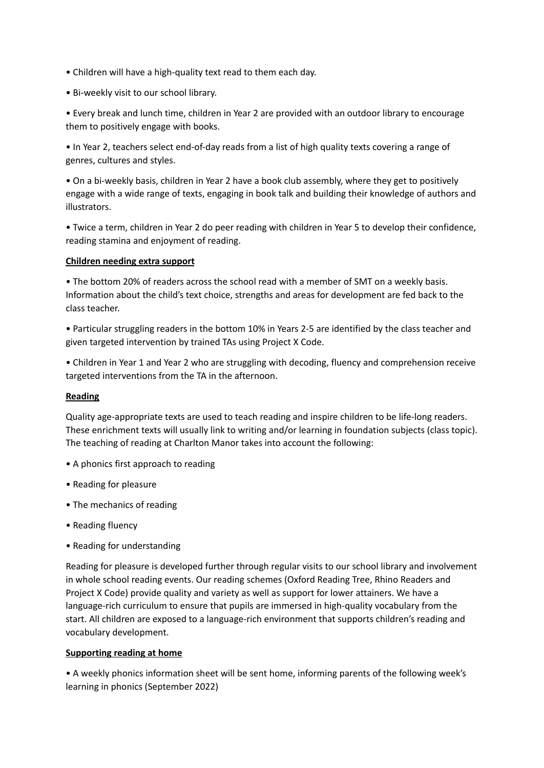- Children will have a high-quality text read to them each day.
- Bi-weekly visit to our school library.

• Every break and lunch time, children in Year 2 are provided with an outdoor library to encourage them to positively engage with books.

• In Year 2, teachers select end-of-day reads from a list of high quality texts covering a range of genres, cultures and styles.

• On a bi-weekly basis, children in Year 2 have a book club assembly, where they get to positively engage with a wide range of texts, engaging in book talk and building their knowledge of authors and illustrators.

• Twice a term, children in Year 2 do peer reading with children in Year 5 to develop their confidence, reading stamina and enjoyment of reading.

#### **Children needing extra support**

• The bottom 20% of readers across the school read with a member of SMT on a weekly basis. Information about the child's text choice, strengths and areas for development are fed back to the class teacher.

• Particular struggling readers in the bottom 10% in Years 2-5 are identified by the class teacher and given targeted intervention by trained TAs using Project X Code.

• Children in Year 1 and Year 2 who are struggling with decoding, fluency and comprehension receive targeted interventions from the TA in the afternoon.

#### **Reading**

Quality age-appropriate texts are used to teach reading and inspire children to be life-long readers. These enrichment texts will usually link to writing and/or learning in foundation subjects (class topic). The teaching of reading at Charlton Manor takes into account the following:

- A phonics first approach to reading
- Reading for pleasure
- The mechanics of reading
- Reading fluency
- Reading for understanding

Reading for pleasure is developed further through regular visits to our school library and involvement in whole school reading events. Our reading schemes (Oxford Reading Tree, Rhino Readers and Project X Code) provide quality and variety as well as support for lower attainers. We have a language-rich curriculum to ensure that pupils are immersed in high-quality vocabulary from the start. All children are exposed to a language-rich environment that supports children's reading and vocabulary development.

#### **Supporting reading at home**

• A weekly phonics information sheet will be sent home, informing parents of the following week's learning in phonics (September 2022)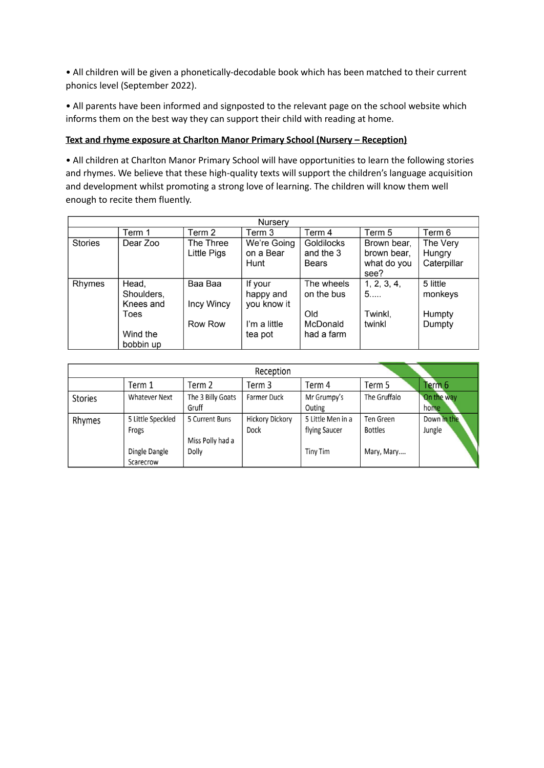• All children will be given a phonetically-decodable book which has been matched to their current phonics level (September 2022).

• All parents have been informed and signposted to the relevant page on the school website which informs them on the best way they can support their child with reading at home.

## **Text and rhyme exposure at Charlton Manor Primary School (Nursery – Reception)**

• All children at Charlton Manor Primary School will have opportunities to learn the following stories and rhymes. We believe that these high-quality texts will support the children's language acquisition and development whilst promoting a strong love of learning. The children will know them well enough to recite them fluently.

| Nursery        |                                          |                          |                                     |                                         |                                                   |                                   |  |
|----------------|------------------------------------------|--------------------------|-------------------------------------|-----------------------------------------|---------------------------------------------------|-----------------------------------|--|
|                | Term 1                                   | Term 2                   | Term 3                              | Term 4                                  | Term 5                                            | Term 6                            |  |
| <b>Stories</b> | Dear Zoo                                 | The Three<br>Little Pigs | We're Going<br>on a Bear<br>Hunt    | Goldilocks<br>and the 3<br><b>Bears</b> | Brown bear,<br>brown bear.<br>what do you<br>see? | The Very<br>Hungry<br>Caterpillar |  |
| Rhymes         | Head,<br>Shoulders,<br>Knees and<br>Toes | Baa Baa<br>Incy Wincy    | If your<br>happy and<br>you know it | The wheels<br>on the bus<br>Old         | 1, 2, 3, 4,<br>5<br>Twinkl,                       | 5 little<br>monkeys<br>Humpty     |  |
|                | Wind the<br>bobbin up                    | Row Row                  | I'm a little<br>tea pot             | McDonald<br>had a farm                  | twinkl                                            | Dumpty                            |  |

| Reception      |                      |                   |                        |                   |                |             |
|----------------|----------------------|-------------------|------------------------|-------------------|----------------|-------------|
|                | Term 1               | Term 2            | Term 3                 | Term 4            | Term 5         | Term 6      |
| <b>Stories</b> | <b>Whatever Next</b> | The 3 Billy Goats | Farmer Duck            | Mr Grumpy's       | The Gruffalo   | On the way  |
|                |                      | Gruff             |                        | Outing            |                | home        |
| Rhymes         | 5 Little Speckled    | 5 Current Buns    | <b>Hickory Dickory</b> | 5 Little Men in a | Ten Green      | Down in the |
|                | Frogs                |                   | Dock                   | flying Saucer     | <b>Bottles</b> | Jungle      |
|                |                      | Miss Polly had a  |                        |                   |                |             |
|                | Dingle Dangle        | Dolly             |                        | <b>Tiny Tim</b>   | Mary, Mary     |             |
|                | Scarecrow            |                   |                        |                   |                |             |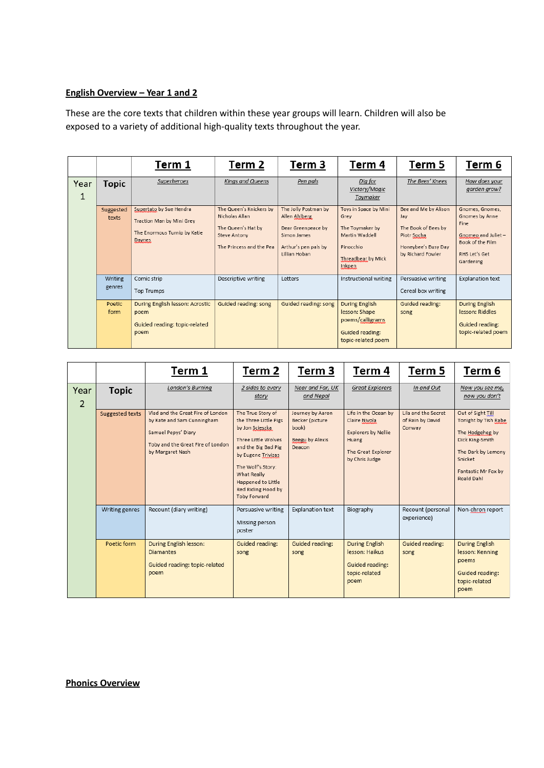## **English Overview – Year 1 and 2**

These are the core texts that children within these year groups will learn. Children will also be exposed to a variety of additional high-quality texts throughout the year.

|           |                    | Term 1                                                                                         | Term 2                                                                                                             | Term 3                                                                                                              | Term 4                                                                                                          | Term 5                                                                                                        | Term 6                                                                                                            |
|-----------|--------------------|------------------------------------------------------------------------------------------------|--------------------------------------------------------------------------------------------------------------------|---------------------------------------------------------------------------------------------------------------------|-----------------------------------------------------------------------------------------------------------------|---------------------------------------------------------------------------------------------------------------|-------------------------------------------------------------------------------------------------------------------|
| Year<br>1 | <b>Topic</b>       | Superheroes                                                                                    | Kings and Queens                                                                                                   | Pen pals                                                                                                            | Dig for<br>Victory/Magic<br>Toymaker                                                                            | The Bees' Knees                                                                                               | How does your<br>garden grow?                                                                                     |
|           | Suggested<br>texts | Supertato by Sue Hendra<br>Traction Man by Mini Grey<br>The Enormous Turnip by Katie<br>Daynes | The Queen's Knickers by<br>Nicholas Allan<br>The Queen's Hat by<br><b>Steve Antony</b><br>The Princess and the Pea | The Jolly Postman by<br>Allen Ahlberg<br>Dear Greenpeace by<br>Simon James<br>Arthur's pen pals by<br>Lillian Hoban | Toys in Space by Mini<br>Grey<br>The Toymaker by<br>Martin Waddell<br>Pinocchio<br>Threadbear by Mick<br>Inkpen | Bee and Me by Alison<br>Jay<br>The Book of Bees by<br>Piotr Socha<br>Honeybee's Busy Day<br>by Richard Fowler | Gnomes, Gnomes,<br>Gnomes by Anne<br>Fine<br>Gnomeo and Juliet-<br>Book of the Film<br>RHS Let's Get<br>Gardening |
|           | Writing<br>genres  | Comic strip<br><b>Top Trumps</b>                                                               | Descriptive writing                                                                                                | Letters                                                                                                             | Instructional writing                                                                                           | Persuasive writing<br>Cereal box writing                                                                      | <b>Explanation text</b>                                                                                           |
|           | Poetic<br>form     | During English lesson: Acrostic<br>poem<br>Guided reading: topic-related<br>poem               | Guided reading: song                                                                                               | Guided reading: song                                                                                                | During English<br>lesson: Shape<br>poems/calligrams<br>Guided reading:<br>topic-related poem                    | Guided reading:<br>song                                                                                       | <b>During English</b><br>lesson: Riddles<br>Guided reading:<br>topic-related poem                                 |

|                        |                 | Term 1                                                                                                                                          | Term 2                                                                                                                                                                                                                                   | Term 3                                                                    | Term 4                                                                                                               | Term 5                                            | Term 6                                                                                                                                                |
|------------------------|-----------------|-------------------------------------------------------------------------------------------------------------------------------------------------|------------------------------------------------------------------------------------------------------------------------------------------------------------------------------------------------------------------------------------------|---------------------------------------------------------------------------|----------------------------------------------------------------------------------------------------------------------|---------------------------------------------------|-------------------------------------------------------------------------------------------------------------------------------------------------------|
| Year<br>$\overline{2}$ | <b>Topic</b>    | London's Burning                                                                                                                                | 2 sides to every<br>story                                                                                                                                                                                                                | Near and Far, UK<br>and Nepal                                             | Great Explorers                                                                                                      | In and Out                                        | Now you see me,<br>now you don't                                                                                                                      |
|                        | Suggested texts | Vlad and the Great Fire of London<br>by Kate and Sam Cunningham<br>Samuel Pepys' Diary<br>Toby and the Great Fire of London<br>by Margaret Nash | The True Story of<br>the Three Little Pigs<br>by Jon Scieszka<br>Three Little Wolves<br>and the Big Bad Pig<br>by Eugene Trivizas<br>The Wolf's Story:<br>What Really<br>Happened to Little<br>Red Riding Hood by<br><b>Toby Forward</b> | Journey by Aaron<br>Becker (picture<br>book)<br>Beegu by Alexis<br>Deacon | Life in the Ocean by<br>Claire Nivola<br><b>Explorers by Nellie</b><br>Huang<br>The Great Explorer<br>by Chris Judge | Lila and the Secret<br>of Rain by David<br>Conway | Out of Sight Till<br>Tonight by Tish Rabe<br>The Hodgeheg by<br>Dick King-Smith<br>The Dark by Lemony<br>Snicket<br>Fantastic Mr Fox by<br>Roald Dahl |
|                        | Writing genres  | Recount (diary writing)                                                                                                                         | Persuasive writing<br>Missing person<br>poster                                                                                                                                                                                           | <b>Explanation text</b>                                                   | Biography                                                                                                            | Recount (personal<br>experience)                  | Non-chron report                                                                                                                                      |
|                        | Poetic form     | During English lesson:<br><b>Diamantes</b><br>Guided reading: topic-related<br>poem                                                             | Guided reading:<br>song                                                                                                                                                                                                                  | Guided reading:<br>song                                                   | <b>During English</b><br>lesson: Haikus<br>Guided reading:<br>topic-related<br>poem                                  | Guided reading:<br>song                           | <b>During English</b><br>lesson: Kenning<br>poems<br>Guided reading:<br>topic-related<br>poem                                                         |

**Phonics Overview**